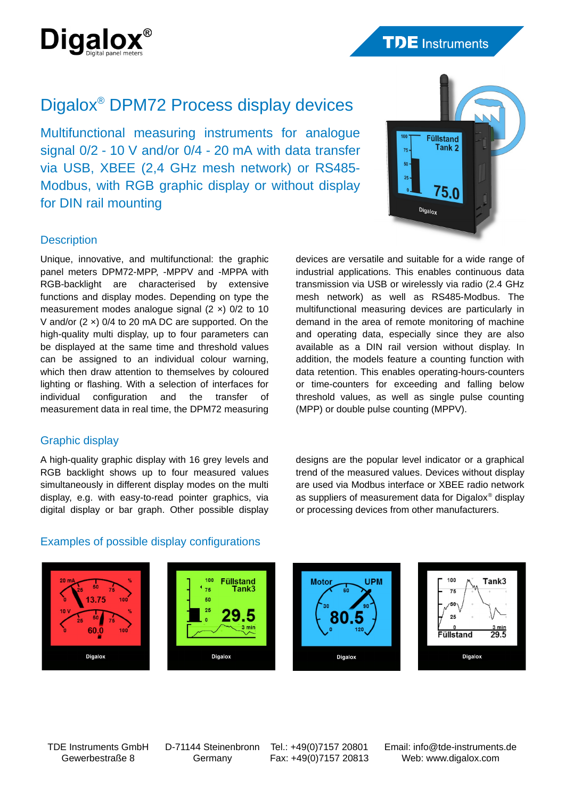

# **TDE** Instruments

# Digalox® DPM72 Process display devices

Multifunctional measuring instruments for analogue signal 0/2 - 10 V and/or 0/4 - 20 mA with data transfer via USB, XBEE (2,4 GHz mesh network) or RS485- Modbus, with RGB graphic display or without display for DIN rail mounting



## **Description**

Unique, innovative, and multifunctional: the graphic panel meters DPM72-MPP, -MPPV and -MPPA with RGB-backlight are characterised by extensive functions and display modes. Depending on type the measurement modes analogue signal (2 ×) 0/2 to 10 V and/or (2 ×) 0/4 to 20 mA DC are supported. On the high-quality multi display, up to four parameters can be displayed at the same time and threshold values can be assigned to an individual colour warning, which then draw attention to themselves by coloured lighting or flashing. With a selection of interfaces for individual configuration and the transfer of measurement data in real time, the DPM72 measuring

## Graphic display

A high-quality graphic display with 16 grey levels and RGB backlight shows up to four measured values simultaneously in different display modes on the multi display, e.g. with easy-to-read pointer graphics, via digital display or bar graph. Other possible display devices are versatile and suitable for a wide range of industrial applications. This enables continuous data transmission via USB or wirelessly via radio (2.4 GHz mesh network) as well as RS485-Modbus. The multifunctional measuring devices are particularly in demand in the area of remote monitoring of machine and operating data, especially since they are also available as a DIN rail version without display. In addition, the models feature a counting function with data retention. This enables operating-hours-counters or time-counters for exceeding and falling below threshold values, as well as single pulse counting (MPP) or double pulse counting (MPPV).

designs are the popular level indicator or a graphical trend of the measured values. Devices without display are used via Modbus interface or XBEE radio network as suppliers of measurement data for Digalox® display or processing devices from other manufacturers.

## Examples of possible display configurations



TDE Instruments GmbH Gewerbestraße 8

D-71144 Steinenbronn Germany

Tel.: +49(0)7157 20801 Fax: +49(0)7157 20813 Email: info@tde-instruments.de Web: www.digalox.com